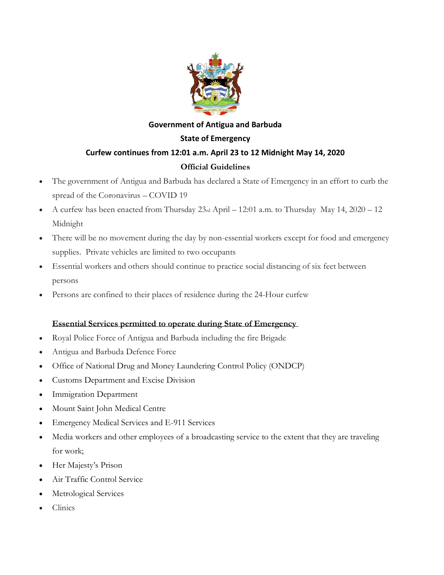

# **Government of Antigua and Barbuda State of Emergency Curfew continues from 12:01 a.m. April 23 to 12 Midnight May 14, 2020 Official Guidelines**

- The government of Antigua and Barbuda has declared a State of Emergency in an effort to curb the spread of the Coronavirus – COVID 19
- A curfew has been enacted from Thursday 23rd April 12:01 a.m. to Thursday May 14, 2020 12 Midnight
- There will be no movement during the day by non-essential workers except for food and emergency supplies. Private vehicles are limited to two occupants
- Essential workers and others should continue to practice social distancing of six feet between persons
- Persons are confined to their places of residence during the 24-Hour curfew

## **Essential Services permitted to operate during State of Emergency**

- Royal Police Force of Antigua and Barbuda including the fire Brigade
- Antigua and Barbuda Defence Force
- Office of National Drug and Money Laundering Control Policy (ONDCP)
- Customs Department and Excise Division
- **Immigration Department**
- Mount Saint John Medical Centre
- Emergency Medical Services and E-911 Services
- Media workers and other employees of a broadcasting service to the extent that they are traveling for work;
- Her Majesty's Prison
- Air Traffic Control Service
- Metrological Services
- Clinics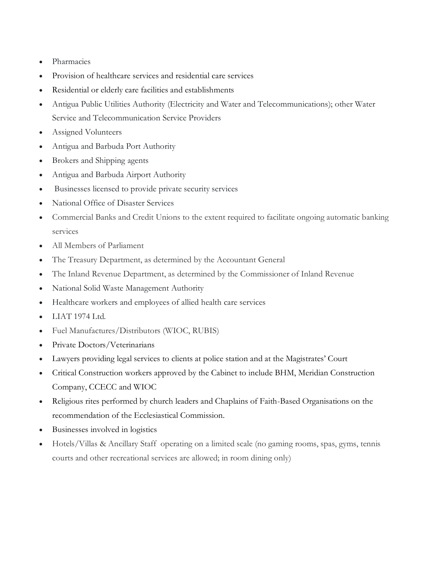- Pharmacies
- Provision of healthcare services and residential care services
- Residential or elderly care facilities and establishments
- Antigua Public Utilities Authority (Electricity and Water and Telecommunications); other Water Service and Telecommunication Service Providers
- Assigned Volunteers
- Antigua and Barbuda Port Authority
- Brokers and Shipping agents
- Antigua and Barbuda Airport Authority
- Businesses licensed to provide private security services
- National Office of Disaster Services
- Commercial Banks and Credit Unions to the extent required to facilitate ongoing automatic banking services
- All Members of Parliament
- The Treasury Department, as determined by the Accountant General
- The Inland Revenue Department, as determined by the Commissioner of Inland Revenue
- National Solid Waste Management Authority
- Healthcare workers and employees of allied health care services
- LIAT 1974 Ltd.
- Fuel Manufactures/Distributors (WIOC, RUBIS)
- Private Doctors/Veterinarians
- Lawyers providing legal services to clients at police station and at the Magistrates' Court
- Critical Construction workers approved by the Cabinet to include BHM, Meridian Construction Company, CCECC and WIOC
- Religious rites performed by church leaders and Chaplains of Faith-Based Organisations on the recommendation of the Ecclesiastical Commission.
- Businesses involved in logistics
- Hotels/Villas & Ancillary Staff operating on a limited scale (no gaming rooms, spas, gyms, tennis courts and other recreational services are allowed; in room dining only)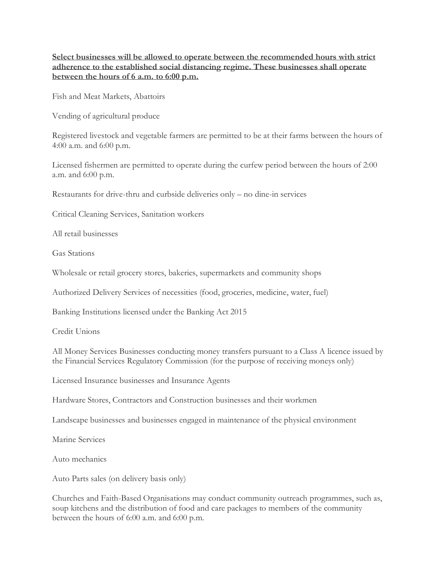**Select businesses will be allowed to operate between the recommended hours with strict adherence to the established social distancing regime. These businesses shall operate between the hours of 6 a.m. to 6:00 p.m.**

Fish and Meat Markets, Abattoirs

Vending of agricultural produce

Registered livestock and vegetable farmers are permitted to be at their farms between the hours of 4:00 a.m. and 6:00 p.m.

Licensed fishermen are permitted to operate during the curfew period between the hours of 2:00 a.m. and 6:00 p.m.

Restaurants for drive-thru and curbside deliveries only – no dine-in services

Critical Cleaning Services, Sanitation workers

All retail businesses

Gas Stations

Wholesale or retail grocery stores, bakeries, supermarkets and community shops

Authorized Delivery Services of necessities (food, groceries, medicine, water, fuel)

Banking Institutions licensed under the Banking Act 2015

Credit Unions

All Money Services Businesses conducting money transfers pursuant to a Class A licence issued by the Financial Services Regulatory Commission (for the purpose of receiving moneys only)

Licensed Insurance businesses and Insurance Agents

Hardware Stores, Contractors and Construction businesses and their workmen

Landscape businesses and businesses engaged in maintenance of the physical environment

Marine Services

Auto mechanics

Auto Parts sales (on delivery basis only)

Churches and Faith-Based Organisations may conduct community outreach programmes, such as, soup kitchens and the distribution of food and care packages to members of the community between the hours of 6:00 a.m. and 6:00 p.m.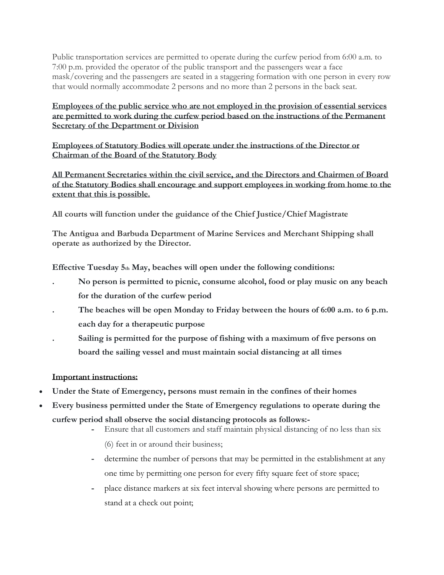Public transportation services are permitted to operate during the curfew period from 6:00 a.m. to 7:00 p.m. provided the operator of the public transport and the passengers wear a face mask/covering and the passengers are seated in a staggering formation with one person in every row that would normally accommodate 2 persons and no more than 2 persons in the back seat.

**Employees of the public service who are not employed in the provision of essential services are permitted to work during the curfew period based on the instructions of the Permanent Secretary of the Department or Division**

**Employees of Statutory Bodies will operate under the instructions of the Director or Chairman of the Board of the Statutory Body**

**All Permanent Secretaries within the civil service, and the Directors and Chairmen of Board of the Statutory Bodies shall encourage and support employees in working from home to the extent that this is possible.**

**All courts will function under the guidance of the Chief Justice/Chief Magistrate**

**The Antigua and Barbuda Department of Marine Services and Merchant Shipping shall operate as authorized by the Director.**

**Effective Tuesday 5th May, beaches will open under the following conditions:**

- **. No person is permitted to picnic, consume alcohol, food or play music on any beach for the duration of the curfew period**
- **. The beaches will be open Monday to Friday between the hours of 6:00 a.m. to 6 p.m. each day for a therapeutic purpose**
- **. Sailing is permitted for the purpose of fishing with a maximum of five persons on board the sailing vessel and must maintain social distancing at all times**

## **Important instructions:**

- **Under the State of Emergency, persons must remain in the confines of their homes**
- **Every business permitted under the State of Emergency regulations to operate during the curfew period shall observe the social distancing protocols as follows:-**
	- **-** Ensure that all customers and staff maintain physical distancing of no less than six
		- (6) feet in or around their business;
	- **-** determine the number of persons that may be permitted in the establishment at any one time by permitting one person for every fifty square feet of store space;
	- **-** place distance markers at six feet interval showing where persons are permitted to stand at a check out point;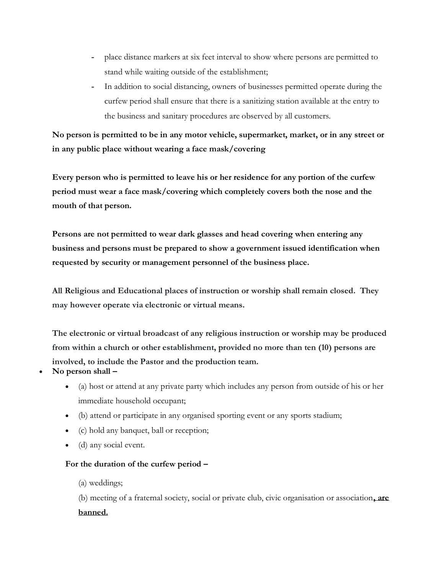- **-** place distance markers at six feet interval to show where persons are permitted to stand while waiting outside of the establishment;
- **-** In addition to social distancing, owners of businesses permitted operate during the curfew period shall ensure that there is a sanitizing station available at the entry to the business and sanitary procedures are observed by all customers.

**No person is permitted to be in any motor vehicle, supermarket, market, or in any street or in any public place without wearing a face mask/covering** 

**Every person who is permitted to leave his or her residence for any portion of the curfew period must wear a face mask/covering which completely covers both the nose and the mouth of that person.**

**Persons are not permitted to wear dark glasses and head covering when entering any business and persons must be prepared to show a government issued identification when requested by security or management personnel of the business place.**

**All Religious and Educational places of instruction or worship shall remain closed. They may however operate via electronic or virtual means.**

**The electronic or virtual broadcast of any religious instruction or worship may be produced from within a church or other establishment, provided no more than ten (10) persons are involved, to include the Pastor and the production team.**

- **No person shall –**
	- (a) host or attend at any private party which includes any person from outside of his or her immediate household occupant;
	- (b) attend or participate in any organised sporting event or any sports stadium;
	- (c) hold any banquet, ball or reception;
	- (d) any social event.

#### **For the duration of the curfew period –**

(a) weddings;

(b) meeting of a fraternal society, social or private club, civic organisation or association**, are banned.**